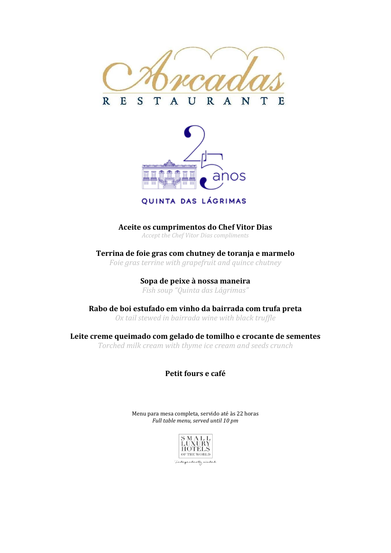



QUINTA DAS LÁGRIMAS

**Aceite os cumprimentos do Chef Vitor Dias**

*Accept the Chef Vitor Dias compliments*

**Terrina de foie gras com chutney de toranja e marmelo** *Foie gras terrine with grapefruit and quince chutney*

> **Sopa de peixe à nossa maneira** *Fish soup "Quinta das Lágrimas"*

**Rabo de boi estufado em vinho da bairrada com trufa preta** *Ox tail [stewed](https://dictionary.cambridge.org/pt/dicionario/ingles-portugues/stewed) [in](https://dictionary.cambridge.org/pt/dicionario/ingles-portugues/in) bairrada [wine](https://dictionary.cambridge.org/pt/dicionario/ingles-portugues/wine) [with](https://dictionary.cambridge.org/pt/dicionario/ingles-portugues/with) [black](https://dictionary.cambridge.org/pt/dicionario/ingles-portugues/black) [truffle](https://dictionary.cambridge.org/pt/dicionario/ingles-portugues/truffle)*

**Leite creme queimado com gelado de tomilho e crocante de sementes** *Torched milk cream with thyme ice cream and seeds crunch*

**Petit fours e café** 

Menu para mesa completa, servido até às 22 horas *Full table menu, served until 10 pm*



Independently minded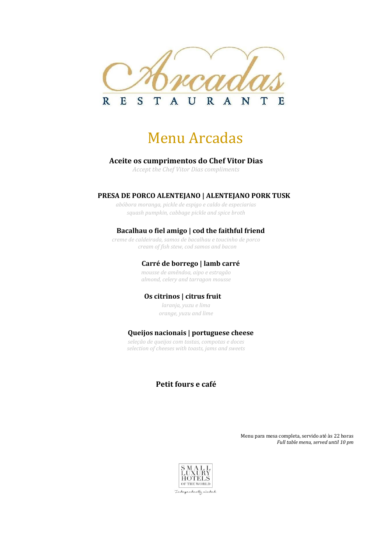

# Menu Arcadas

### **Aceite os cumprimentos do Chef Vitor Dias**

*Accept the Chef Vitor Dias compliments*

### **PRESA DE PORCO ALENTEJANO | ALENTEJANO PORK TUSK**

*abóbora moranga, pickle de espigo e caldo de especiarias squash pumpkin, cabbage pickle and spice broth*

### **Bacalhau o fiel amigo | cod the faithful friend**

*creme de caldeirada, samos de bacalhau e toucinho de porco cream of fish stew, cod samos and bacon*

# **Carré de borrego | lamb carré**

*mousse de amêndoa, aipo e estragão almond, celery and tarragon mousse*

#### **Os citrinos | citrus fruit**

*laranja, yuzu e lima orange, yuzu and lime*

# **Queijos nacionais | portuguese cheese**

*seleção de queijos com tostas, compotas e doces selection of cheeses with toasts, jams and sweets*

# **Petit fours e café**

Menu para mesa completa, servido até às 22 horas *Full table menu, served until 10 pm*